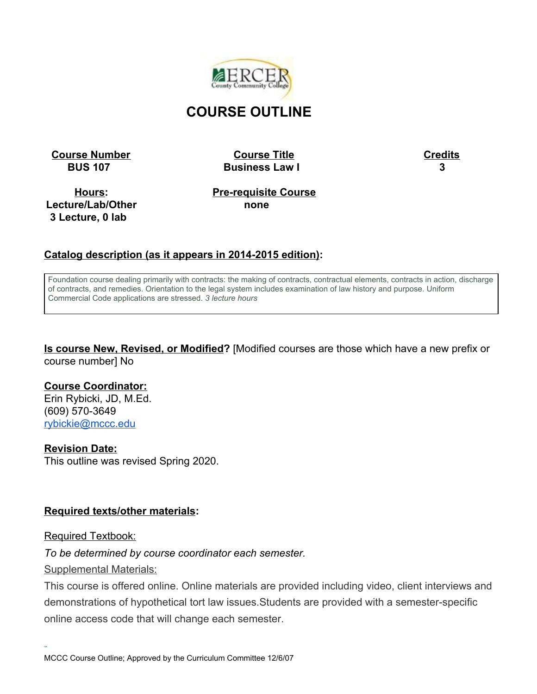

# **COURSE OUTLINE**

**Course Number Course Title Course Title Credits** 

 **BUS 107 Business Law I 3**

**Hours: Lecture/Lab/Other 3 Lecture, 0 lab**

**Pre-requisite Course none**

### **Catalog description (as it appears in 2014-2015 edition):**

Foundation course dealing primarily with contracts: the making of contracts, contractual elements, contracts in action, discharge of contracts, and remedies. Orientation to the legal system includes examination of law history and purpose. Uniform Commercial Code applications are stressed. *3 lecture hours*

**Is course New, Revised, or Modified?** [Modified courses are those which have a new prefix or course number] No

#### **Course Coordinator:**

Erin Rybicki, JD, M.Ed. (609) 570-3649 [rybickie@mccc.edu](mailto:rybickie@mccc.edu)

#### **Revision Date:**

This outline was revised Spring 2020.

#### **Required texts/other materials:**

#### Required Textbook:

**[ick](https://www.thriftbooks.com/w/wests-paralegal-today-the-legal-team-at-work-4e-west-legal-studies-series_roger-leroy-miller_mary-meinzinger-urisko/342577/?_pxhc=1514235890021)**

#### *To be determined by course coordinator each semester.*

Supplemental Materials:

This course is offered online. Online materials are provided including video, client interviews and demonstrations of hypothetical tort law issues.Students are provided with a semester-specific online access code that will change each semester.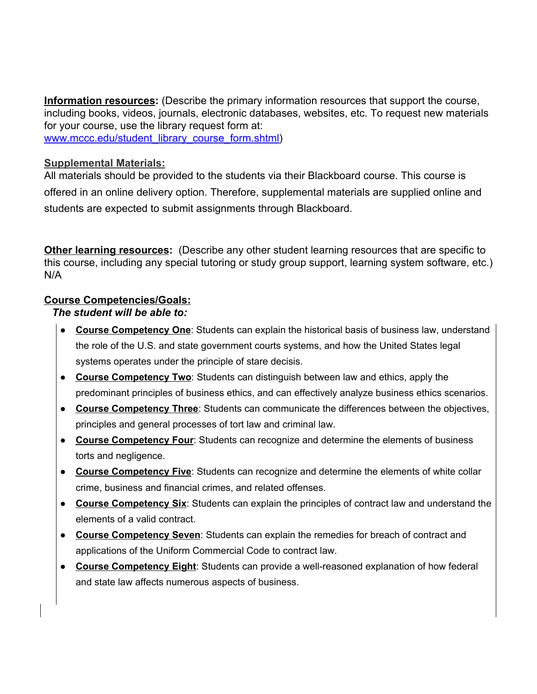**Information resources:** (Describe the primary information resources that support the course, including books, videos, journals, electronic databases, websites, etc. To request new materials for your course, use the library request form at: [www.mccc.edu/student\\_library\\_course\\_form.shtml\)](http://www.mccc.edu/student_library_course_form.shtml)

#### **Supplemental Materials:**

All materials should be provided to the students via their Blackboard course. This course is offered in an online delivery option. Therefore, supplemental materials are supplied online and students are expected to submit assignments through Blackboard.

**Other learning resources:** (Describe any other student learning resources that are specific to this course, including any special tutoring or study group support, learning system software, etc.) N/A

### **Course Competencies/Goals:**

#### *The student will be able to:*

- **Course Competency One**: Students can explain the historical basis of business law, understand the role of the U.S. and state government courts systems, and how the United States legal systems operates under the principle of stare decisis.
- **Course Competency Two**: Students can distinguish between law and ethics, apply the predominant principles of business ethics, and can effectively analyze business ethics scenarios.
- **Course Competency Three**: Students can communicate the differences between the objectives, principles and general processes of tort law and criminal law.
- **Course Competency Four**: Students can recognize and determine the elements of business torts and negligence.
- **Course Competency Five**: Students can recognize and determine the elements of white collar crime, business and financial crimes, and related offenses.
- **Course Competency Six**: Students can explain the principles of contract law and understand the elements of a valid contract.
- **Course Competency Seven**: Students can explain the remedies for breach of contract and applications of the Uniform Commercial Code to contract law.
- **Course Competency Eight**: Students can provide a well-reasoned explanation of how federal and state law affects numerous aspects of business.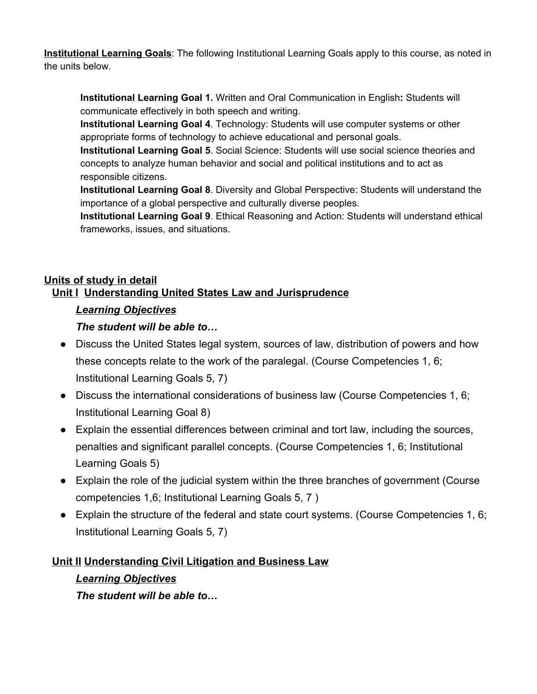**Institutional Learning Goals**: The following Institutional Learning Goals apply to this course, as noted in the units below.

**Institutional Learning Goal 1.** Written and Oral Communication in English**:** Students will communicate effectively in both speech and writing.

**Institutional Learning Goal 4**. Technology: Students will use computer systems or other appropriate forms of technology to achieve educational and personal goals.

**Institutional Learning Goal 5**. Social Science: Students will use social science theories and concepts to analyze human behavior and social and political institutions and to act as responsible citizens.

**Institutional Learning Goal 8**. Diversity and Global Perspective: Students will understand the importance of a global perspective and culturally diverse peoples.

**Institutional Learning Goal 9**. Ethical Reasoning and Action: Students will understand ethical frameworks, issues, and situations.

## **Units of study in detail Unit I Understanding United States Law and Jurisprudence**

## *Learning Objectives*

## *The student will be able to…*

- Discuss the United States legal system, sources of law, distribution of powers and how these concepts relate to the work of the paralegal. (Course Competencies 1, 6; Institutional Learning Goals 5, 7)
- Discuss the international considerations of business law (Course Competencies 1, 6; Institutional Learning Goal 8)
- Explain the essential differences between criminal and tort law, including the sources, penalties and significant parallel concepts. (Course Competencies 1, 6; Institutional Learning Goals 5)
- Explain the role of the judicial system within the three branches of government (Course competencies 1,6; Institutional Learning Goals 5, 7 )
- Explain the structure of the federal and state court systems. (Course Competencies 1, 6; Institutional Learning Goals 5, 7)

## **Unit II Understanding Civil Litigation and Business Law**

*Learning Objectives The student will be able to…*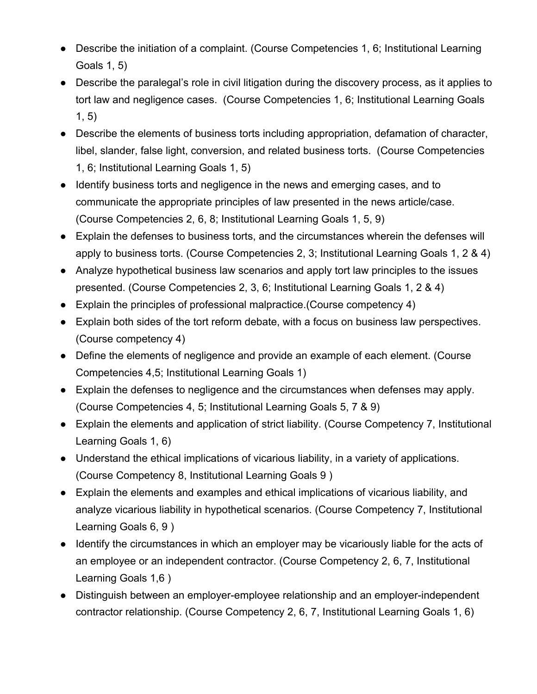- Describe the initiation of a complaint. (Course Competencies 1, 6; Institutional Learning Goals 1, 5)
- Describe the paralegal's role in civil litigation during the discovery process, as it applies to tort law and negligence cases. (Course Competencies 1, 6; Institutional Learning Goals 1, 5)
- Describe the elements of business torts including appropriation, defamation of character, libel, slander, false light, conversion, and related business torts. (Course Competencies 1, 6; Institutional Learning Goals 1, 5)
- Identify business torts and negligence in the news and emerging cases, and to communicate the appropriate principles of law presented in the news article/case. (Course Competencies 2, 6, 8; Institutional Learning Goals 1, 5, 9)
- Explain the defenses to business torts, and the circumstances wherein the defenses will apply to business torts. (Course Competencies 2, 3; Institutional Learning Goals 1, 2 & 4)
- Analyze hypothetical business law scenarios and apply tort law principles to the issues presented. (Course Competencies 2, 3, 6; Institutional Learning Goals 1, 2 & 4)
- Explain the principles of professional malpractice.(Course competency 4)
- Explain both sides of the tort reform debate, with a focus on business law perspectives. (Course competency 4)
- Define the elements of negligence and provide an example of each element. (Course Competencies 4,5; Institutional Learning Goals 1)
- Explain the defenses to negligence and the circumstances when defenses may apply. (Course Competencies 4, 5; Institutional Learning Goals 5, 7 & 9)
- Explain the elements and application of strict liability. (Course Competency 7, Institutional Learning Goals 1, 6)
- Understand the ethical implications of vicarious liability, in a variety of applications. (Course Competency 8, Institutional Learning Goals 9 )
- Explain the elements and examples and ethical implications of vicarious liability, and analyze vicarious liability in hypothetical scenarios. (Course Competency 7, Institutional Learning Goals 6, 9 )
- Identify the circumstances in which an employer may be vicariously liable for the acts of an employee or an independent contractor. (Course Competency 2, 6, 7, Institutional Learning Goals 1,6 )
- Distinguish between an employer-employee relationship and an employer-independent contractor relationship. (Course Competency 2, 6, 7, Institutional Learning Goals 1, 6)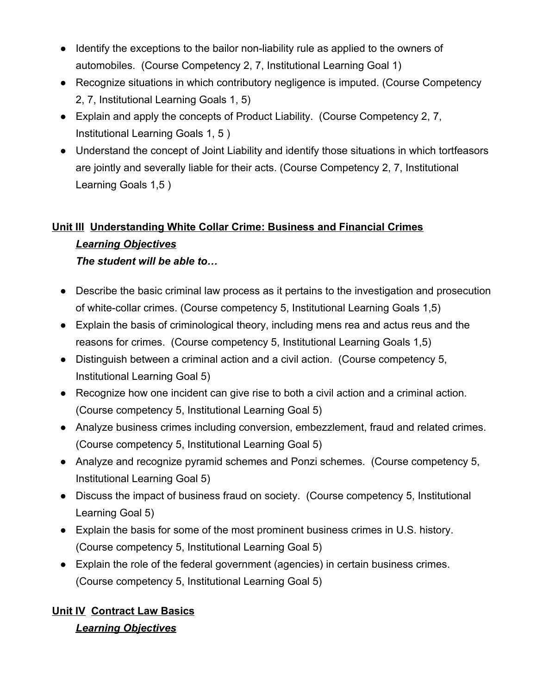- Identify the exceptions to the bailor non-liability rule as applied to the owners of automobiles. (Course Competency 2, 7, Institutional Learning Goal 1)
- Recognize situations in which contributory negligence is imputed. (Course Competency 2, 7, Institutional Learning Goals 1, 5)
- Explain and apply the concepts of Product Liability. (Course Competency 2, 7, Institutional Learning Goals 1, 5 )
- Understand the concept of Joint Liability and identify those situations in which tortfeasors are jointly and severally liable for their acts. (Course Competency 2, 7, Institutional Learning Goals 1,5 )

# **Unit III Understanding White Collar Crime: Business and Financial Crimes**

# *Learning Objectives*

*The student will be able to…*

- Describe the basic criminal law process as it pertains to the investigation and prosecution of white-collar crimes. (Course competency 5, Institutional Learning Goals 1,5)
- Explain the basis of criminological theory, including mens rea and actus reus and the reasons for crimes. (Course competency 5, Institutional Learning Goals 1,5)
- Distinguish between a criminal action and a civil action. (Course competency 5, Institutional Learning Goal 5)
- Recognize how one incident can give rise to both a civil action and a criminal action. (Course competency 5, Institutional Learning Goal 5)
- Analyze business crimes including conversion, embezzlement, fraud and related crimes. (Course competency 5, Institutional Learning Goal 5)
- Analyze and recognize pyramid schemes and Ponzi schemes. (Course competency 5, Institutional Learning Goal 5)
- Discuss the impact of business fraud on society. (Course competency 5, Institutional Learning Goal 5)
- Explain the basis for some of the most prominent business crimes in U.S. history. (Course competency 5, Institutional Learning Goal 5)
- Explain the role of the federal government (agencies) in certain business crimes. (Course competency 5, Institutional Learning Goal 5)

# **Unit IV Contract Law Basics** *Learning Objectives*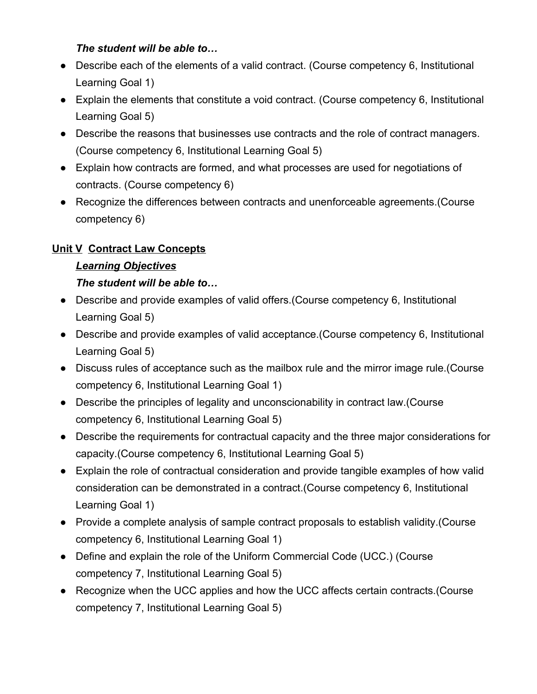### *The student will be able to…*

- Describe each of the elements of a valid contract. (Course competency 6, Institutional Learning Goal 1)
- Explain the elements that constitute a void contract. (Course competency 6, Institutional Learning Goal 5)
- Describe the reasons that businesses use contracts and the role of contract managers. (Course competency 6, Institutional Learning Goal 5)
- Explain how contracts are formed, and what processes are used for negotiations of contracts. (Course competency 6)
- Recognize the differences between contracts and unenforceable agreements.(Course competency 6)

## **Unit V Contract Law Concepts**

## *Learning Objectives*

## *The student will be able to…*

- Describe and provide examples of valid offers.(Course competency 6, Institutional Learning Goal 5)
- Describe and provide examples of valid acceptance. (Course competency 6, Institutional Learning Goal 5)
- Discuss rules of acceptance such as the mailbox rule and the mirror image rule.(Course competency 6, Institutional Learning Goal 1)
- Describe the principles of legality and unconscionability in contract law.(Course competency 6, Institutional Learning Goal 5)
- Describe the requirements for contractual capacity and the three major considerations for capacity.(Course competency 6, Institutional Learning Goal 5)
- Explain the role of contractual consideration and provide tangible examples of how valid consideration can be demonstrated in a contract.(Course competency 6, Institutional Learning Goal 1)
- Provide a complete analysis of sample contract proposals to establish validity.(Course competency 6, Institutional Learning Goal 1)
- Define and explain the role of the Uniform Commercial Code (UCC.) (Course competency 7, Institutional Learning Goal 5)
- Recognize when the UCC applies and how the UCC affects certain contracts.(Course competency 7, Institutional Learning Goal 5)